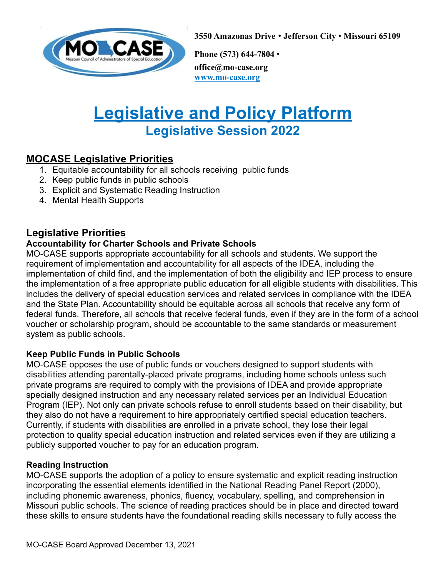

**3550 Amazonas Drive** • **Jefferson City** • **Missouri 65109**

**Phone (573) 644-7804** • **office@mo-case.org www.mo-case.org**

# **Legislative and Policy Platform Legislative Session 2022**

# **MOCASE Legislative Priorities**

- 1. Equitable accountability for all schools receiving public funds
- 2. Keep public funds in public schools
- 3. Explicit and Systematic Reading Instruction
- 4. Mental Health Supports

# **Legislative Priorities**

#### **Accountability for Charter Schools and Private Schools**

MO-CASE supports appropriate accountability for all schools and students. We support the requirement of implementation and accountability for all aspects of the IDEA, including the implementation of child find, and the implementation of both the eligibility and IEP process to ensure the implementation of a free appropriate public education for all eligible students with disabilities. This includes the delivery of special education services and related services in compliance with the IDEA and the State Plan. Accountability should be equitable across all schools that receive any form of federal funds. Therefore, all schools that receive federal funds, even if they are in the form of a school voucher or scholarship program, should be accountable to the same standards or measurement system as public schools.

#### **Keep Public Funds in Public Schools**

MO-CASE opposes the use of public funds or vouchers designed to support students with disabilities attending parentally-placed private programs, including home schools unless such private programs are required to comply with the provisions of IDEA and provide appropriate specially designed instruction and any necessary related services per an Individual Education Program (IEP). Not only can private schools refuse to enroll students based on their disability, but they also do not have a requirement to hire appropriately certified special education teachers. Currently, if students with disabilities are enrolled in a private school, they lose their legal protection to quality special education instruction and related services even if they are utilizing a publicly supported voucher to pay for an education program.

#### **Reading Instruction**

MO-CASE supports the adoption of a policy to ensure systematic and explicit reading instruction incorporating the essential elements identified in the National Reading Panel Report (2000), including phonemic awareness, phonics, fluency, vocabulary, spelling, and comprehension in Missouri public schools. The science of reading practices should be in place and directed toward these skills to ensure students have the foundational reading skills necessary to fully access the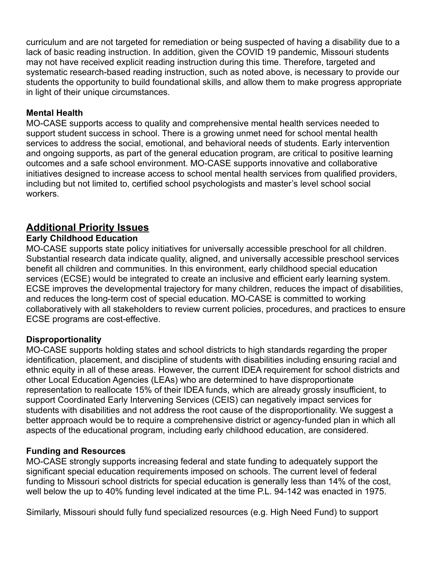curriculum and are not targeted for remediation or being suspected of having a disability due to a lack of basic reading instruction. In addition, given the COVID 19 pandemic, Missouri students may not have received explicit reading instruction during this time. Therefore, targeted and systematic research-based reading instruction, such as noted above, is necessary to provide our students the opportunity to build foundational skills, and allow them to make progress appropriate in light of their unique circumstances.

#### **Mental Health**

MO-CASE supports access to quality and comprehensive mental health services needed to support student success in school. There is a growing unmet need for school mental health services to address the social, emotional, and behavioral needs of students. Early intervention and ongoing supports, as part of the general education program, are critical to positive learning outcomes and a safe school environment. MO-CASE supports innovative and collaborative initiatives designed to increase access to school mental health services from qualified providers, including but not limited to, certified school psychologists and master's level school social workers.

# **Additional Priority Issues**

#### **Early Childhood Education**

MO-CASE supports state policy initiatives for universally accessible preschool for all children. Substantial research data indicate quality, aligned, and universally accessible preschool services benefit all children and communities. In this environment, early childhood special education services (ECSE) would be integrated to create an inclusive and efficient early learning system. ECSE improves the developmental trajectory for many children, reduces the impact of disabilities, and reduces the long-term cost of special education. MO-CASE is committed to working collaboratively with all stakeholders to review current policies, procedures, and practices to ensure ECSE programs are cost-effective.

#### **Disproportionality**

MO-CASE supports holding states and school districts to high standards regarding the proper identification, placement, and discipline of students with disabilities including ensuring racial and ethnic equity in all of these areas. However, the current IDEA requirement for school districts and other Local Education Agencies (LEAs) who are determined to have disproportionate representation to reallocate 15% of their IDEA funds, which are already grossly insufficient, to support Coordinated Early Intervening Services (CEIS) can negatively impact services for students with disabilities and not address the root cause of the disproportionality. We suggest a better approach would be to require a comprehensive district or agency-funded plan in which all aspects of the educational program, including early childhood education, are considered.

#### **Funding and Resources**

MO-CASE strongly supports increasing federal and state funding to adequately support the significant special education requirements imposed on schools. The current level of federal funding to Missouri school districts for special education is generally less than 14% of the cost, well below the up to 40% funding level indicated at the time P.L. 94-142 was enacted in 1975.

Similarly, Missouri should fully fund specialized resources (e.g. High Need Fund) to support